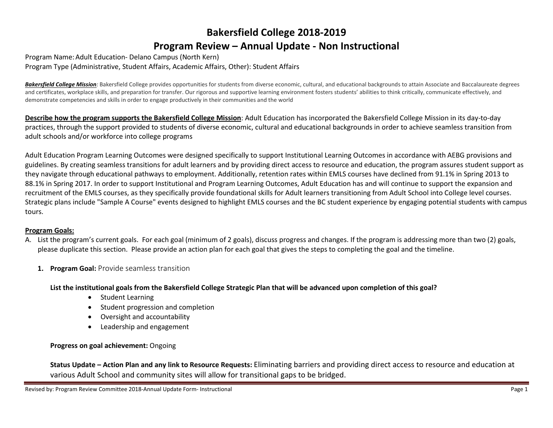# **Bakersfield College 2018-2019 Program Review – Annual Update - Non Instructional**

Program Name:Adult Education- Delano Campus (North Kern) Program Type (Administrative, Student Affairs, Academic Affairs, Other): Student Affairs

**Bakersfield College Mission**: Bakersfield College provides opportunities for students from diverse economic, cultural, and educational backgrounds to attain Associate and Baccalaureate degrees and certificates, workplace skills, and preparation for transfer. Our rigorous and supportive learning environment fosters students' abilities to think critically, communicate effectively, and demonstrate competencies and skills in order to engage productively in their communities and the world

**Describe how the program supports the Bakersfield College Mission**: Adult Education has incorporated the Bakersfield College Mission in its day-to-day practices, through the support provided to students of diverse economic, cultural and educational backgrounds in order to achieve seamless transition from adult schools and/or workforce into college programs

Adult Education Program Learning Outcomes were designed specifically to support Institutional Learning Outcomes in accordance with AEBG provisions and guidelines. By creating seamless transitions for adult learners and by providing direct access to resource and education, the program assures student support as they navigate through educational pathways to employment. Additionally, retention rates within EMLS courses have declined from 91.1% in Spring 2013 to 88.1% in Spring 2017. In order to support Institutional and Program Learning Outcomes, Adult Education has and will continue to support the expansion and recruitment of the EMLS courses, as they specifically provide foundational skills for Adult learners transitioning from Adult School into College level courses. Strategic plans include "Sample A Course" events designed to highlight EMLS courses and the BC student experience by engaging potential students with campus tours.

## **Program Goals:**

- A. List the program's current goals. For each goal (minimum of 2 goals), discuss progress and changes. If the program is addressing more than two (2) goals, please duplicate this section. Please provide an action plan for each goal that gives the steps to completing the goal and the timeline.
	- **1. Program Goal:** Provide seamless transition

**List the institutional goals from the Bakersfield College Strategic Plan that will be advanced upon completion of this goal?** 

- Student Learning
- Student progression and completion
- Oversight and accountability
- Leadership and engagement

# **Progress on goal achievement:** Ongoing

**Status Update – Action Plan and any link to Resource Requests:** Eliminating barriers and providing direct access to resource and education at various Adult School and community sites will allow for transitional gaps to be bridged.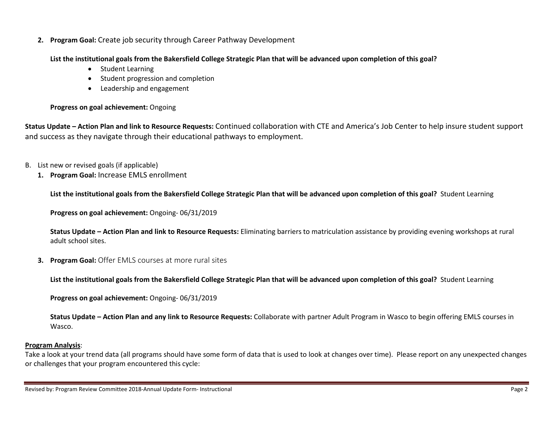**2. Program Goal:** Create job security through Career Pathway Development

**List the institutional goals from the Bakersfield College Strategic Plan that will be advanced upon completion of this goal?** 

- Student Learning
- Student progression and completion
- Leadership and engagement

## **Progress on goal achievement:** Ongoing

**Status Update – Action Plan and link to Resource Requests:** Continued collaboration with CTE and America's Job Center to help insure student support and success as they navigate through their educational pathways to employment.

- B. List new or revised goals (if applicable)
	- **1. Program Goal:** Increase EMLS enrollment

**List the institutional goals from the Bakersfield College Strategic Plan that will be advanced upon completion of this goal?** Student Learning

**Progress on goal achievement:** Ongoing- 06/31/2019

**Status Update – Action Plan and link to Resource Requests:** Eliminating barriers to matriculation assistance by providing evening workshops at rural adult school sites.

**3. Program Goal:** Offer EMLS courses at more rural sites

**List the institutional goals from the Bakersfield College Strategic Plan that will be advanced upon completion of this goal?** Student Learning

**Progress on goal achievement:** Ongoing- 06/31/2019

**Status Update – Action Plan and any link to Resource Requests:** Collaborate with partner Adult Program in Wasco to begin offering EMLS courses in Wasco.

## **Program Analysis**:

Take a look at your trend data (all programs should have some form of data that is used to look at changes over time). Please report on any unexpected changes or challenges that your program encountered this cycle: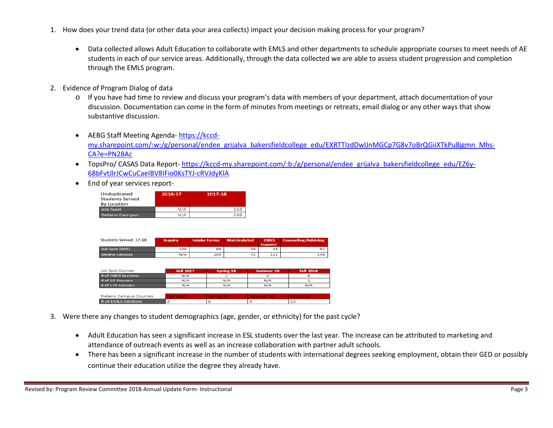- 1. How does your trend data (or other data your area collects) impact your decision making process for your program?
	- Data collected allows Adult Education to collaborate with EMLS and other departments to schedule appropriate courses to meet needs of AE students in each of our service areas. Additionally, through the data collected we are able to assess student progression and completion through the EMLS program.
- 2. Evidence of Program Dialog of data
	- o If you have had time to review and discuss your program's data with members of your department, attach documentation of your discussion. Documentation can come in the form of minutes from meetings or retreats, email dialog or any other ways that show substantive discussion.
	- AEBG Staff Meeting Agenda- [https://kccd](https://kccd-my.sharepoint.com/:w:/g/personal/endee_grijalva_bakersfieldcollege_edu/EXRTTIzdDwlJnMGCp7G8v7oBrQGiiXTkPu8jgmn_Mhs-CA?e=PN28Ac)[my.sharepoint.com/:w:/g/personal/endee\\_grijalva\\_bakersfieldcollege\\_edu/EXRTTIzdDwlJnMGCp7G8v7oBrQGiiXTkPu8jgmn\\_Mhs-](https://kccd-my.sharepoint.com/:w:/g/personal/endee_grijalva_bakersfieldcollege_edu/EXRTTIzdDwlJnMGCp7G8v7oBrQGiiXTkPu8jgmn_Mhs-CA?e=PN28Ac)[CA?e=PN28Ac](https://kccd-my.sharepoint.com/:w:/g/personal/endee_grijalva_bakersfieldcollege_edu/EXRTTIzdDwlJnMGCp7G8v7oBrQGiiXTkPu8jgmn_Mhs-CA?e=PN28Ac)
	- TopsPro/ CASAS Data Report- [https://kccd-my.sharepoint.com/:b:/g/personal/endee\\_grijalva\\_bakersfieldcollege\\_edu/EZ6y-](https://kccd-my.sharepoint.com/:b:/g/personal/endee_grijalva_bakersfieldcollege_edu/EZ6y-68bFvtJlrJCwCuCaeIBV8IFio0KsTYJ-cRVJdyKlA)[68bFvtJlrJCwCuCaeIBV8IFio0KsTYJ-cRVJdyKlA](https://kccd-my.sharepoint.com/:b:/g/personal/endee_grijalva_bakersfieldcollege_edu/EZ6y-68bFvtJlrJCwCuCaeIBV8IFio0KsTYJ-cRVJdyKlA)
	- End of year services report-

| Unduplicated<br><b>Students Served</b><br><b>By Location</b> | 2016-17 | 2017-18 |
|--------------------------------------------------------------|---------|---------|
| <b>Job Spot</b>                                              | N/A     | 243     |
| <b>Delano Campus</b>                                         | N/A     | 268     |

| Students Served 17-18 | Inquiry | <b>Intake Forms</b> | <b>Matriculated</b> | <b>EMLS</b><br><b>Support</b> | <b>Counseling/Advising</b> |
|-----------------------|---------|---------------------|---------------------|-------------------------------|----------------------------|
| Job Spot (BAS)        | 136     | 68                  | 46                  | 46                            |                            |
| <b>Delano Campus</b>  | N/A     | 105                 | 72                  | 112                           | 146                        |

| <b>Job Spot Courses</b>      | <b>Fall 2017</b> | <b>Spring 18</b> | <b>Summer 18</b> | <b>Fall 2018</b> |
|------------------------------|------------------|------------------|------------------|------------------|
| # of EMLS Sections           | N/A              |                  |                  |                  |
| # of GE Courses              | N/A              | N/A              | N/A              |                  |
| # of CTE Courses             | N/A              | N/A              | N/A              | N/A              |
|                              |                  |                  |                  |                  |
| <b>Delano Campus Courses</b> | Fall 2017        | Spring 18        | Summer 18        | <b>Fall 2018</b> |
| # of EMLS Sections           |                  |                  |                  | 10               |

- 3. Were there any changes to student demographics (age, gender, or ethnicity) for the past cycle?
	- Adult Education has seen a significant increase in ESL students over the last year. The increase can be attributed to marketing and attendance of outreach events as well as an increase collaboration with partner adult schools.
	- There has been a significant increase in the number of students with international degrees seeking employment, obtain their GED or possibly continue their education utilize the degree they already have.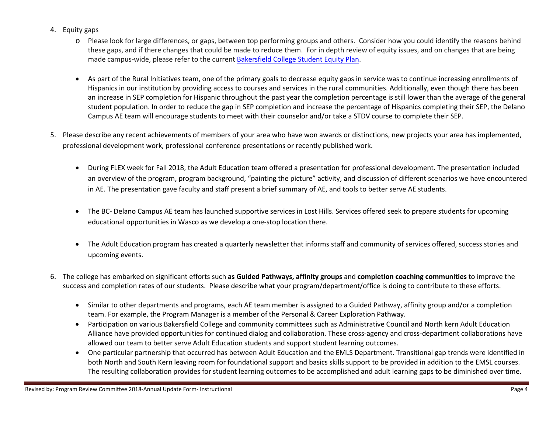- 4. Equity gaps
	- o Please look for large differences, or gaps, between top performing groups and others. Consider how you could identify the reasons behind these gaps, and if there changes that could be made to reduce them. For in depth review of equity issues, and on changes that are being made campus-wide, please refer to the current [Bakersfield College Student Equity Plan.](https://www.bakersfieldcollege.edu/sites/bakersfieldcollege.edu/files/2015-18_StudentEquityPlan.pdf)
	- As part of the Rural Initiatives team, one of the primary goals to decrease equity gaps in service was to continue increasing enrollments of Hispanics in our institution by providing access to courses and services in the rural communities. Additionally, even though there has been an increase in SEP completion for Hispanic throughout the past year the completion percentage is still lower than the average of the general student population. In order to reduce the gap in SEP completion and increase the percentage of Hispanics completing their SEP, the Delano Campus AE team will encourage students to meet with their counselor and/or take a STDV course to complete their SEP.
- 5. Please describe any recent achievements of members of your area who have won awards or distinctions, new projects your area has implemented, professional development work, professional conference presentations or recently published work.
	- During FLEX week for Fall 2018, the Adult Education team offered a presentation for professional development. The presentation included an overview of the program, program background, "painting the picture" activity, and discussion of different scenarios we have encountered in AE. The presentation gave faculty and staff present a brief summary of AE, and tools to better serve AE students.
	- The BC- Delano Campus AE team has launched supportive services in Lost Hills. Services offered seek to prepare students for upcoming educational opportunities in Wasco as we develop a one-stop location there.
	- The Adult Education program has created a quarterly newsletter that informs staff and community of services offered, success stories and upcoming events.
- 6. The college has embarked on significant efforts such **as Guided Pathways, affinity groups** and **completion coaching communities** to improve the success and completion rates of our students. Please describe what your program/department/office is doing to contribute to these efforts.
	- Similar to other departments and programs, each AE team member is assigned to a Guided Pathway, affinity group and/or a completion team. For example, the Program Manager is a member of the Personal & Career Exploration Pathway.
	- Participation on various Bakersfield College and community committees such as Administrative Council and North kern Adult Education Alliance have provided opportunities for continued dialog and collaboration. These cross-agency and cross-department collaborations have allowed our team to better serve Adult Education students and support student learning outcomes.
	- One particular partnership that occurred has between Adult Education and the EMLS Department. Transitional gap trends were identified in both North and South Kern leaving room for foundational support and basics skills support to be provided in addition to the EMSL courses. The resulting collaboration provides for student learning outcomes to be accomplished and adult learning gaps to be diminished over time.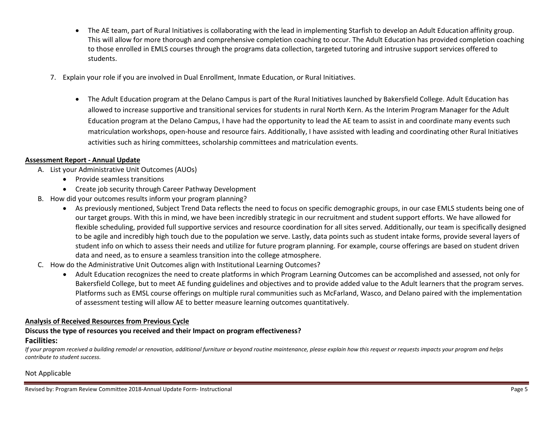- The AE team, part of Rural Initiatives is collaborating with the lead in implementing Starfish to develop an Adult Education affinity group. This will allow for more thorough and comprehensive completion coaching to occur. The Adult Education has provided completion coaching to those enrolled in EMLS courses through the programs data collection, targeted tutoring and intrusive support services offered to students.
- 7. Explain your role if you are involved in Dual Enrollment, Inmate Education, or Rural Initiatives.
	- The Adult Education program at the Delano Campus is part of the Rural Initiatives launched by Bakersfield College. Adult Education has allowed to increase supportive and transitional services for students in rural North Kern. As the Interim Program Manager for the Adult Education program at the Delano Campus, I have had the opportunity to lead the AE team to assist in and coordinate many events such matriculation workshops, open-house and resource fairs. Additionally, I have assisted with leading and coordinating other Rural Initiatives activities such as hiring committees, scholarship committees and matriculation events.

#### **Assessment Report - Annual Update**

- A. List your Administrative Unit Outcomes (AUOs)
	- Provide seamless transitions
	- Create job security through Career Pathway Development
- B. How did your outcomes results inform your program planning?
	- As previously mentioned, Subject Trend Data reflects the need to focus on specific demographic groups, in our case EMLS students being one of our target groups. With this in mind, we have been incredibly strategic in our recruitment and student support efforts. We have allowed for flexible scheduling, provided full supportive services and resource coordination for all sites served. Additionally, our team is specifically designed to be agile and incredibly high touch due to the population we serve. Lastly, data points such as student intake forms, provide several layers of student info on which to assess their needs and utilize for future program planning. For example, course offerings are based on student driven data and need, as to ensure a seamless transition into the college atmosphere.
- C. How do the Administrative Unit Outcomes align with Institutional Learning Outcomes?
	- Adult Education recognizes the need to create platforms in which Program Learning Outcomes can be accomplished and assessed, not only for Bakersfield College, but to meet AE funding guidelines and objectives and to provide added value to the Adult learners that the program serves. Platforms such as EMSL course offerings on multiple rural communities such as McFarland, Wasco, and Delano paired with the implementation of assessment testing will allow AE to better measure learning outcomes quantitatively.

#### **Analysis of Received Resources from Previous Cycle**

#### **Discuss the type of resources you received and their Impact on program effectiveness? Facilities:**

*If your program received a building remodel or renovation, additional furniture or beyond routine maintenance, please explain how this request or requests impacts your program and helps contribute to student success.*

#### Not Applicable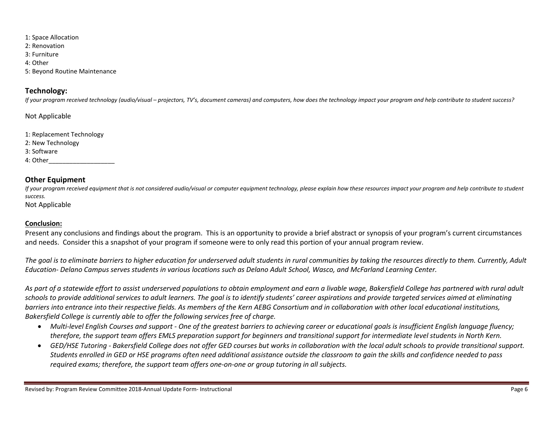- 1: Space Allocation
- 2: Renovation
- 3: Furniture
- 4: Other
- 5: Beyond Routine Maintenance

## **Technology:**

*If your program received technology (audio/visual – projectors, TV's, document cameras) and computers, how does the technology impact your program and help contribute to student success?*

Not Applicable

1: Replacement Technology 2: New Technology 3: Software 4: Other\_\_\_\_\_\_\_\_\_\_\_\_\_\_\_\_\_\_\_

# **Other Equipment**

*If your program received equipment that is not considered audio/visual or computer equipment technology, please explain how these resources impact your program and help contribute to student success.*

Not Applicable

## **Conclusion:**

Present any conclusions and findings about the program. This is an opportunity to provide a brief abstract or synopsis of your program's current circumstances and needs. Consider this a snapshot of your program if someone were to only read this portion of your annual program review.

*The goal is to eliminate barriers to higher education for underserved adult students in rural communities by taking the resources directly to them. Currently, Adult Education- Delano Campus serves students in various locations such as Delano Adult School, Wasco, and McFarland Learning Center.* 

*As part of a statewide effort to assist underserved populations to obtain employment and earn a livable wage, Bakersfield College has partnered with rural adult schools to provide additional services to adult learners. The goal is to identify students' career aspirations and provide targeted services aimed at eliminating barriers into entrance into their respective fields. As members of the Kern AEBG Consortium and in collaboration with other local educational institutions, Bakersfield College is currently able to offer the following services free of charge.*

- *Multi-level English Courses and support - One of the greatest barriers to achieving career or educational goals is insufficient English language fluency; therefore, the support team offers EMLS preparation support for beginners and transitional support for intermediate level students in North Kern.*
- *GED/HSE Tutoring - Bakersfield College does not offer GED courses but works in collaboration with the local adult schools to provide transitional support. Students enrolled in GED or HSE programs often need additional assistance outside the classroom to gain the skills and confidence needed to pass required exams; therefore, the support team offers one-on-one or group tutoring in all subjects.*